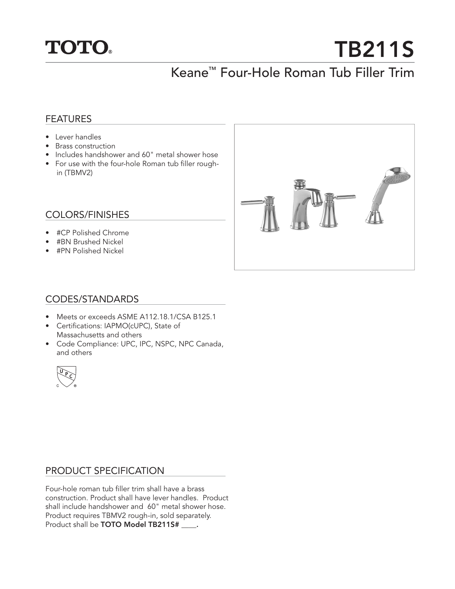

# **TB211S**

## Keane™ Four-Hole Roman Tub Filler Trim

#### FEATURES

- Lever handles
- Brass construction
- Includes handshower and 60" metal shower hose
- For use with the four-hole Roman tub filler roughin (TBMV2)

#### COLORS/FINISHES

- #CP Polished Chrome
- #BN Brushed Nickel
- #PN Polished Nickel



#### CODES/STANDARDS

- Meets or exceeds ASME A112.18.1/CSA B125.1
- Certifications: IAPMO(cUPC), State of Massachusetts and others
- Code Compliance: UPC, IPC, NSPC, NPC Canada, and others



#### PRODUCT SPECIFICATION

Four-hole roman tub filler trim shall have a brass construction. Product shall have lever handles. Product shall include handshower and 60" metal shower hose. Product requires TBMV2 rough-in, sold separately. Product shall be **TOTO Model TB211S# \_\_\_\_.**